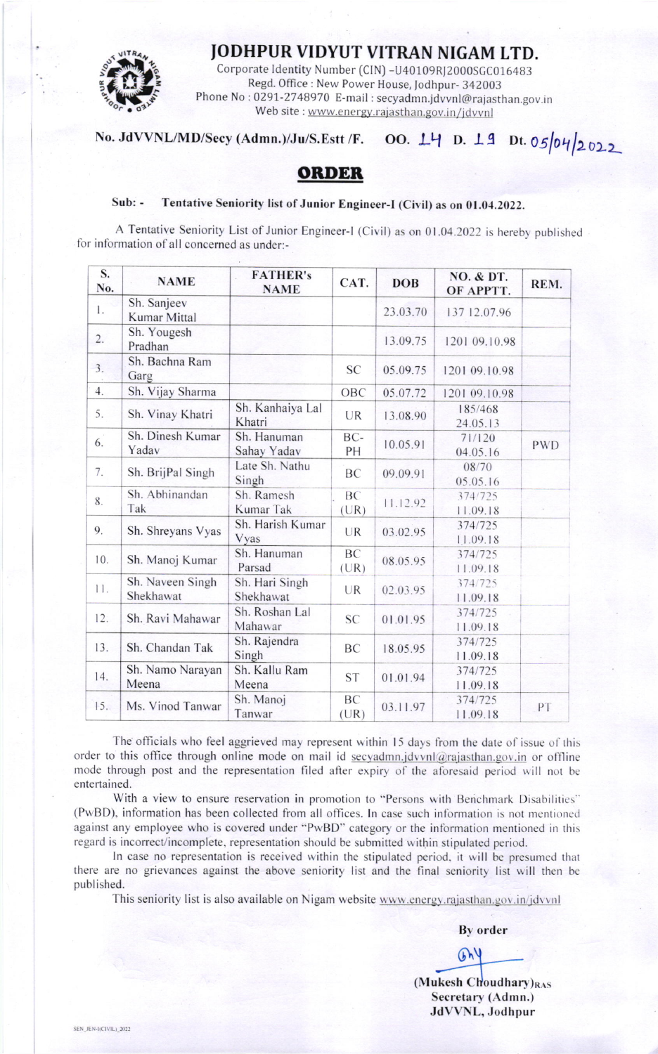## **JODHPUR VIDYUT VITRAN NIGAM LTD.**



Corporate Identity Number (CIN) - U40109RJ2000SGC016483 Regd. Office: New Power House, Jodhpur- 342003 Phone No: 0291-2748970 E-mail: secyadmn.jdvvnl@rajasthan.gov.in Web site: www.energy.rajasthan.gov.in/jdvvnl

## No. JdVVNL/MD/Secy (Admn.)/Ju/S.Estt /F. 00. 14 D. 19 Dt. 05/04/2022

## **ORDER**

## $Suh:$ Tentative Seniority list of Junior Engineer-I (Civil) as on 01.04.2022.

A Tentative Seniority List of Junior Engineer-I (Civil) as on 01.04.2022 is hereby published for information of all concerned as under:-

| S.<br>No. | <b>NAME</b>                   | <b>FATHER's</b><br><b>NAME</b> | CAT.              | <b>DOB</b> | NO. & DT.<br>OF APPTT. | REM.       |
|-----------|-------------------------------|--------------------------------|-------------------|------------|------------------------|------------|
| 1.        | Sh. Sanjeev<br>Kumar Mittal   |                                |                   | 23.03.70   | 137 12.07.96           |            |
| 2.        | Sh. Yougesh<br>Pradhan        |                                |                   | 13.09.75   | 1201 09.10.98          |            |
| 3.        | Sh. Bachna Ram<br>Garg        |                                | <b>SC</b>         | 05.09.75   | 1201 09.10.98          |            |
| 4.        | Sh. Vijay Sharma              |                                | OBC               | 05.07.72   | 1201 09.10.98          |            |
| 5.        | Sh. Vinay Khatri              | Sh. Kanhaiya Lal<br>Khatri     | UR                | 13.08.90   | 185/468<br>24.05.13    |            |
| 6.        | Sh. Dinesh Kumar<br>Yadav     | Sh. Hanuman<br>Sahay Yadav     | BC-<br>PH         | 10.05.91   | 71/120<br>04.05.16     | <b>PWD</b> |
| 7.        | Sh. BrijPal Singh             | Late Sh. Nathu<br>Singh        | BC                | 09.09.91   | 08/70<br>05.05.16      |            |
| 8.        | Sh. Abhinandan<br>Tak         | Sh. Ramesh<br>Kumar Tak        | <b>BC</b><br>(UR) | 11.12.92   | 374/725<br>11.09.18    |            |
| 9.        | Sh. Shreyans Vyas             | Sh. Harish Kumar<br>Vyas       | <b>UR</b>         | 03.02.95   | 374/725<br>11.09.18    |            |
| 10.       | Sh. Manoj Kumar               | Sh. Hanuman<br>Parsad          | BC<br>(UR)        | 08.05.95   | 374/725<br>11.09.18    |            |
| 11.       | Sh. Naveen Singh<br>Shekhawat | Sh. Hari Singh<br>Shekhawat    | <b>UR</b>         | 02.03.95   | 374/725<br>11.09.18    |            |
| 12.       | Sh. Ravi Mahawar              | Sh. Roshan Lal<br>Mahawar      | <b>SC</b>         | 01.01.95   | 374/725<br>11.09.18    |            |
| 13.       | Sh. Chandan Tak               | Sh. Rajendra<br>Singh          | BC                | 18.05.95   | 374/725<br>11.09.18    |            |
| 14.       | Sh. Namo Narayan<br>Meena     | Sh. Kallu Ram<br>Meena         | <b>ST</b>         | 01.01.94   | 374/725<br>11.09.18    |            |
| 15.       | Ms. Vinod Tanwar              | Sh. Manoj<br>Tanwar            | BC<br>(UR)        | 03.11.97   | 374/725<br>11.09.18    | PT         |

The officials who feel aggrieved may represent within 15 days from the date of issue of this order to this office through online mode on mail id secyadmn.jdvvnl@rajasthan.gov.in or offline mode through post and the representation filed after expiry of the aforesaid period will not be entertained.

With a view to ensure reservation in promotion to "Persons with Benchmark Disabilities" (PwBD), information has been collected from all offices. In case such information is not mentioned against any employee who is covered under "PwBD" category or the information mentioned in this regard is incorrect/incomplete, representation should be submitted within stipulated period.

In case no representation is received within the stipulated period, it will be presumed that there are no grievances against the above seniority list and the final seniority list will then be published.

This seniority list is also available on Nigam website www.energy.rajasthan.gov.in/jdvvnl

**By order** 

 $GM$ 

(Mukesh Choudhary)RAS Secretary (Admn.) JdVVNL, Jodhpur